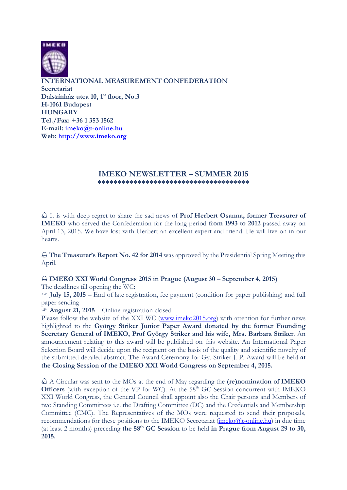

**INTERNATIONAL MEASUREMENT CONFEDERATION Secretariat** 

**Dalszínház utca 10, 1st floor, No.3 H-1061 Budapest HUNGARY Tel./Fax: +36 1 353 1562 E-mail: imeko@t-online.hu Web: http://www.imeko.org**

## **IMEKO NEWSLETTER – SUMMER 2015 \*\*\*\*\*\*\*\*\*\*\*\*\*\*\*\*\*\*\*\*\*\*\*\*\*\*\*\*\*\*\*\*\*\*\*\*\*\***

֠ It is with deep regret to share the sad news of **Prof Herbert Osanna, former Treasurer of IMEKO** who served the Confederation for the long period **from 1993 to 2012** passed away on April 13, 2015. We have lost with Herbert an excellent expert and friend. He will live on in our hearts.

֠ **The Treasurer's Report No. 42 for 2014** was approved by the Presidential Spring Meeting this April.

## ֠ **IMEKO XXI World Congress 2015 in Prague (August 30 – September 4, 2015)**

The deadlines till opening the WC:

 **July 15, 2015** – End of late registration, fee payment (condition for paper publishing) and full paper sending

**August 21, 2015** – Online registration closed

Please follow the website of the XXI WC (www.imeko2015.org) with attention for further news highlighted to the **György Striker Junior Paper Award donated by the former Founding Secretary General of IMEKO, Prof György Striker and his wife, Mrs. Barbara Striker**. An announcement relating to this award will be published on this website. An International Paper Selection Board will decide upon the recipient on the basis of the quality and scientific novelty of the submitted detailed abstract. The Award Ceremony for Gy. Striker J. P. Award will be held **at the Closing Session of the IMEKO XXI World Congress on September 4, 2015.** 

֠ A Circular was sent to the MOs at the end of May regarding the **(re)nomination of IMEKO Officers** (with exception of the VP for WC). At the 58<sup>th</sup> GC Session concurrent with IMEKO XXI World Congress, the General Council shall appoint also the Chair persons and Members of two Standing Committees i.e. the Drafting Committee (DC) and the Credentials and Membership Committee (CMC). The Representatives of the MOs were requested to send their proposals, recommendations for these positions to the IMEKO Secretariat  $(\text{imeko@t-online.hu})$  in due time (at least 2 months) preceding **the 58th GC Session** to be held **in Prague from August 29 to 30, 2015.**